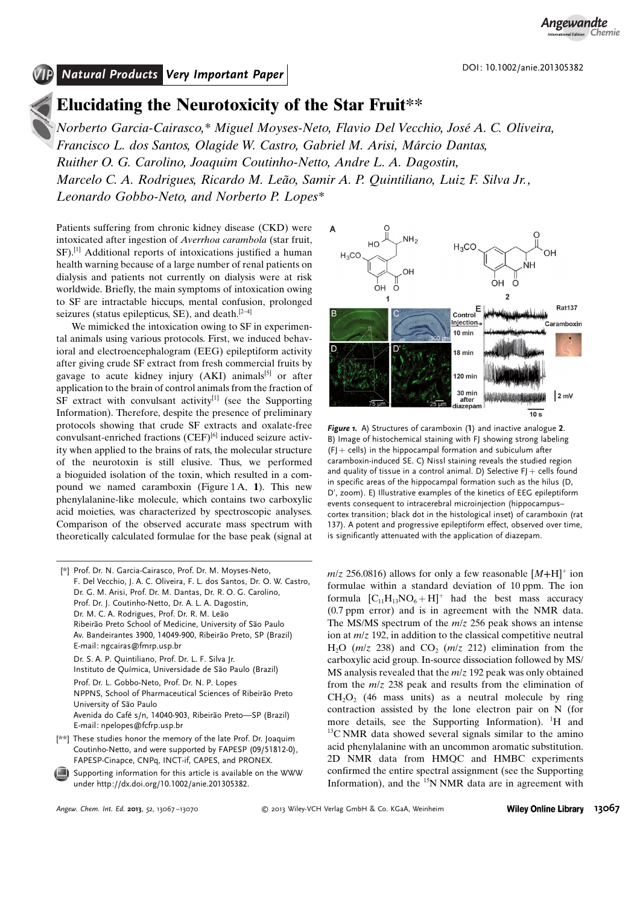*Angewandte Chemie*

# Natural Products Very Important Paper

## Elucidating the Neurotoxicity of the Star Fruit\*\*

Norberto Garcia-Cairasco,\* Miguel Moyses-Neto, Flavio Del Vecchio, José A. C. Oliveira, Francisco L. dos Santos, Olagide W. Castro, Gabriel M. Arisi, Márcio Dantas, Ruither O. G. Carolino, Joaquim Coutinho-Netto, Andre L. A. Dagostin, Marcelo C. A. Rodrigues, Ricardo M. Leão, Samir A. P. Quintiliano, Luiz F. Silva Jr., Leonardo Gobbo-Neto, and Norberto P. Lopes\*

Patients suffering from chronic kidney disease (CKD) were intoxicated after ingestion of Averrhoa carambola (star fruit, SF).<sup>[1]</sup> Additional reports of intoxications justified a human health warning because of a large number of renal patients on dialysis and patients not currently on dialysis were at risk worldwide. Briefly, the main symptoms of intoxication owing to SF are intractable hiccups, mental confusion, prolonged seizures (status epilepticus, SE), and death. $[2-4]$ 

We mimicked the intoxication owing to SF in experimental animals using various protocols. First, we induced behavioral and electroencephalogram (EEG) epileptiform activity after giving crude SF extract from fresh commercial fruits by gavage to acute kidney injury  $(AKI)$  animals<sup>[5]</sup> or after application to the brain of control animals from the fraction of  $SF$  extract with convulsant activity<sup>[1]</sup> (see the Supporting Information). Therefore, despite the presence of preliminary protocols showing that crude SF extracts and oxalate-free convulsant-enriched fractions (CEF)<sup>[6]</sup> induced seizure activity when applied to the brains of rats, the molecular structure of the neurotoxin is still elusive. Thus, we performed a bioguided isolation of the toxin, which resulted in a compound we named caramboxin (Figure 1A, 1). This new phenylalanine-like molecule, which contains two carboxylic acid moieties, was characterized by spectroscopic analyses. Comparison of the observed accurate mass spectrum with theoretically calculated formulae for the base peak (signal at

[\*] Prof. Dr. N. Garcia-Cairasco, Prof. Dr. M. Moyses-Neto, F. Del Vecchio, J. A. C. Oliveira, F. L. dos Santos, Dr. O. W. Castro, Dr. G. M. Arisi, Prof. Dr. M. Dantas, Dr. R. O. G. Carolino, Prof. Dr. J. Coutinho-Netto, Dr. A. L. A. Dagostin, Dr. M. C. A. Rodrigues, Prof. Dr. R. M. Leão Ribeirão Preto School of Medicine, University of São Paulo Av. Bandeirantes 3900, 14049-900, Ribeirão Preto, SP (Brazil) E-mail: ngcairas@fmrp.usp.br Dr. S. A. P. Quintiliano, Prof. Dr. L. F. Silva Jr. Instituto de Química, Universidade de São Paulo (Brazil) Prof. Dr. L. Gobbo-Neto, Prof. Dr. N. P. Lopes NPPNS, School of Pharmaceutical Sciences of Ribeirão Preto University of São Paulo

Avenida do Café s/n, 14040-903, Ribeirão Preto-SP (Brazil) E-mail: npelopes@fcfrp.usp.br

- [\*\*] These studies honor the memory of the late Prof. Dr. Joaquim Coutinho-Netto, and were supported by FAPESP (09/51812-0), FAPESP-Cinapce, CNPq, INCT-if, CAPES, and PRONEX.
- Supporting information for this article is available on the WWW under<http://dx.doi.org/10.1002/anie.201305382>.



Figure 1. A) Structures of caramboxin (1) and inactive analogue 2. B) Image of histochemical staining with FJ showing strong labeling  $(F$  + cells) in the hippocampal formation and subiculum after caramboxin-induced SE. C) Nissl staining reveals the studied region and quality of tissue in a control animal. D) Selective  $F$ J + cells found in specific areas of the hippocampal formation such as the hilus (D, D', zoom). E) Illustrative examples of the kinetics of EEG epileptiform events consequent to intracerebral microinjection (hippocampus– cortex transition; black dot in the histological inset) of caramboxin (rat 137). A potent and progressive epileptiform effect, observed over time. is significantly attenuated with the application of diazepam.

 $m/z$  256.0816) allows for only a few reasonable  $[M+H]$ <sup>+</sup> ion formulae within a standard deviation of 10 ppm. The ion formula  $[C_{11}H_{13}NO_6 + H]^+$  had the best mass accuracy (0.7 ppm error) and is in agreement with the NMR data. The MS/MS spectrum of the  $m/z$  256 peak shows an intense ion at  $m/z$  192, in addition to the classical competitive neutral H<sub>2</sub>O ( $m/z$  238) and CO<sub>2</sub> ( $m/z$  212) elimination from the carboxylic acid group. In-source dissociation followed by MS/ MS analysis revealed that the  $m/z$  192 peak was only obtained from the  $m/z$  238 peak and results from the elimination of  $CH<sub>2</sub>O<sub>2</sub>$  (46 mass units) as a neutral molecule by ring contraction assisted by the lone electron pair on N (for more details, see the Supporting Information). <sup>1</sup>H and <sup>13</sup>C NMR data showed several signals similar to the amino acid phenylalanine with an uncommon aromatic substitution. 2D NMR data from HMQC and HMBC experiments confirmed the entire spectral assignment (see the Supporting Information), and the  $<sup>15</sup>N NMR$  data are in agreement with</sup>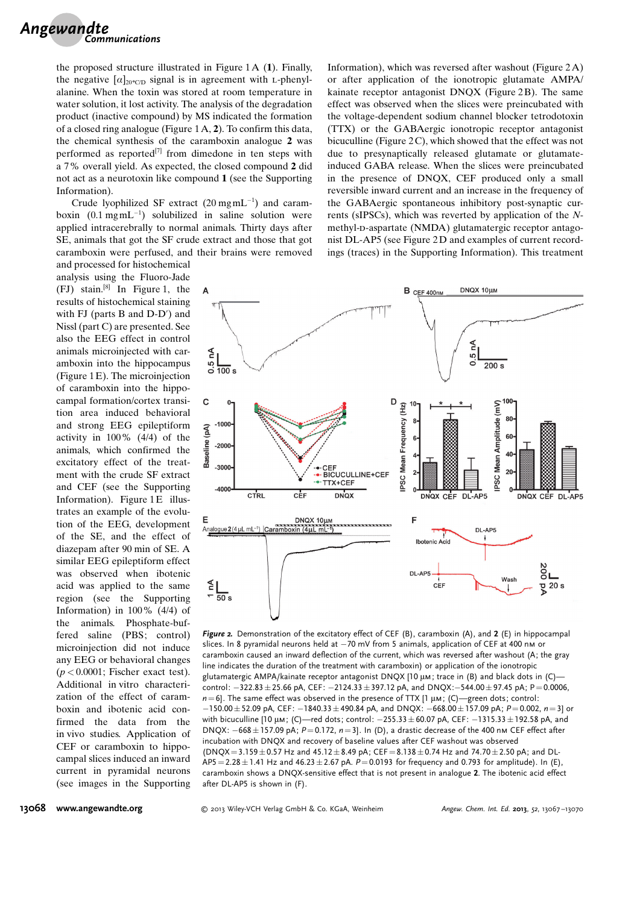the proposed structure illustrated in Figure 1A (1). Finally, the negative  $\lbrack \alpha \rbrack_{20^\circ CD}$  signal is in agreement with L-phenylalanine. When the toxin was stored at room temperature in water solution, it lost activity. The analysis of the degradation product (inactive compound) by MS indicated the formation of a closed ring analogue (Figure 1A, 2). To confirm this data, the chemical synthesis of the caramboxin analogue 2 was performed as reported $^{[7]}$  from dimedone in ten steps with a 7% overall yield. As expected, the closed compound 2 did not act as a neurotoxin like compound 1 (see the Supporting Information).

Crude lyophilized SF extract  $(20 \text{ mg} \text{m} \text{L}^{-1})$  and caramboxin  $(0.1 \text{ mgmL}^{-1})$  solubilized in saline solution were applied intracerebrally to normal animals. Thirty days after SE, animals that got the SF crude extract and those that got caramboxin were perfused, and their brains were removed

and processed for histochemical analysis using the Fluoro-Jade (FJ) stain.[8] In Figure 1, the results of histochemical staining with FJ (parts B and D-D') and Nissl (part C) are presented. See also the EEG effect in control animals microinjected with caramboxin into the hippocampus (Figure 1 E). The microinjection of caramboxin into the hippocampal formation/cortex transition area induced behavioral and strong EEG epileptiform activity in 100% (4/4) of the animals, which confirmed the excitatory effect of the treatment with the crude SF extract and CEF (see the Supporting Information). Figure  $1E$  illustrates an example of the evolution of the EEG, development of the SE, and the effect of diazepam after 90 min of SE. A similar EEG epileptiform effect was observed when ibotenic acid was applied to the same region (see the Supporting Information) in 100% (4/4) of the animals. Phosphate-buffered saline (PBS; control) microinjection did not induce any EEG or behavioral changes  $(p < 0.0001$ ; Fischer exact test). Additional in vitro characterization of the effect of caramboxin and ibotenic acid confirmed the data from the in vivo studies. Application of CEF or caramboxin to hippocampal slices induced an inward current in pyramidal neurons (see images in the Supporting

Information), which was reversed after washout (Figure 2A) or after application of the ionotropic glutamate AMPA/ kainate receptor antagonist DNQX (Figure 2B). The same effect was observed when the slices were preincubated with the voltage-dependent sodium channel blocker tetrodotoxin (TTX) or the GABAergic ionotropic receptor antagonist bicuculline (Figure  $2C$ ), which showed that the effect was not due to presynaptically released glutamate or glutamateinduced GABA release. When the slices were preincubated in the presence of DNQX, CEF produced only a small reversible inward current and an increase in the frequency of the GABAergic spontaneous inhibitory post-synaptic currents (sIPSCs), which was reverted by application of the Nmethyl-D-aspartate (NMDA) glutamatergic receptor antagonist DL-AP5 (see Figure 2D and examples of current recordings (traces) in the Supporting Information). This treatment



Figure 2. Demonstration of the excitatory effect of CEF (B), caramboxin (A), and 2 (E) in hippocampal slices. In 8 pyramidal neurons held at  $-70$  mV from 5 animals, application of CEF at 400 nm or caramboxin caused an inward deflection of the current, which was reversed after washout (A; the gray line indicates the duration of the treatment with caramboxin) or application of the ionotropic glutamatergic AMPA/kainate receptor antagonist DNQX [10 µм; trace in (B) and black dots in (C) control:  $-322.83 \pm 25.66$  pA, CEF:  $-2124.33 \pm 397.12$  pA, and DNQX: $-544.00 \pm 97.45$  pA; P=0.0006,  $n=6$ ]. The same effect was observed in the presence of TTX [1  $\mu$ m; (C)—green dots; control:  $-150.00 \pm 52.09$  pA, CEF:  $-1840.33 \pm 490.84$  pA, and DNQX:  $-668.00 \pm 157.09$  pA;  $P = 0.002$ ,  $n = 3$  or with bicuculline [10  $\mu$ м; (C)—red dots; control:  $-255.33 \pm 60.07$  pA, CEF:  $-1315.33 \pm 192.58$  pA, and DNQX:  $-668 \pm 157.09$  pA;  $P = 0.172$ ,  $n = 3$ ]. In (D), a drastic decrease of the 400 nm CEF effect after incubation with DNQX and recovery of baseline values after CEF washout was observed  $(DNQX = 3.159 \pm 0.57$  Hz and  $45.12 \pm 8.49$  pA; CEF = 8.138  $\pm$  0.74 Hz and 74.70  $\pm$  2.50 pA; and DL- $AP5 = 2.28 \pm 1.41$  Hz and  $46.23 \pm 2.67$  pA.  $P = 0.0193$  for frequency and 0.793 for amplitude). In (E), caramboxin shows a DNQX-sensitive effect that is not present in analogue 2. The ibotenic acid effect after DL-AP5 is shown in (F).

### 13068 [www.angewandte.org](http://www.angewandte.org)

© 2013 Wiley-VCH Verlag GmbH & Co. KGaA, Weinheim Angew. Chem. Int. Ed. 2013, 52, 13067-13070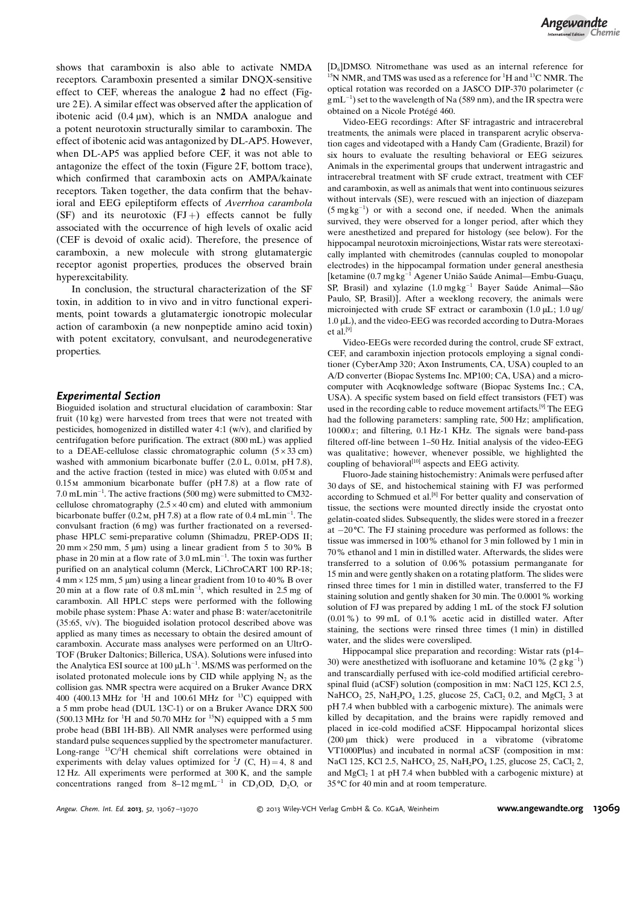shows that caramboxin is also able to activate NMDA receptors. Caramboxin presented a similar DNQX-sensitive effect to CEF, whereas the analogue 2 had no effect (Figure  $2E$ ). A similar effect was observed after the application of ibotenic acid  $(0.4 \mu M)$ , which is an NMDA analogue and a potent neurotoxin structurally similar to caramboxin. The effect of ibotenic acid was antagonized by DL-AP5. However, when DL-AP5 was applied before CEF, it was not able to antagonize the effect of the toxin (Figure 2 F, bottom trace), which confirmed that caramboxin acts on AMPA/kainate receptors. Taken together, the data confirm that the behavioral and EEG epileptiform effects of Averrhoa carambola (SF) and its neurotoxic  $(FJ+)$  effects cannot be fully associated with the occurrence of high levels of oxalic acid (CEF is devoid of oxalic acid). Therefore, the presence of caramboxin, a new molecule with strong glutamatergic receptor agonist properties, produces the observed brain hyperexcitability.

In conclusion, the structural characterization of the SF toxin, in addition to in vivo and in vitro functional experiments, point towards a glutamatergic ionotropic molecular action of caramboxin (a new nonpeptide amino acid toxin) with potent excitatory, convulsant, and neurodegenerative properties.

## Experimental Section

Bioguided isolation and structural elucidation of caramboxin: Star fruit (10 kg) were harvested from trees that were not treated with pesticides, homogenized in distilled water 4:1 (w/v), and clarified by centrifugation before purification. The extract (800 mL) was applied to a DEAE-cellulose classic chromatographic column  $(5 \times 33 \text{ cm})$ washed with ammonium bicarbonate buffer (2.0 L, 0.01m, pH 7.8), and the active fraction (tested in mice) was eluted with 0.05m and 0.15m ammonium bicarbonate buffer (pH 7.8) at a flow rate of 7.0 mLmin-1 . The active fractions (500 mg) were submitted to CM32 cellulose chromatography  $(2.5 \times 40 \text{ cm})$  and eluted with ammonium bicarbonate buffer (0.2 M, pH 7.8) at a flow rate of 0.4 mLmin<sup>-1</sup>. The convulsant fraction (6 mg) was further fractionated on a reversedphase HPLC semi-preparative column (Shimadzu, PREP-ODS II;  $20 \text{ mm} \times 250 \text{ mm}$ ,  $5 \text{ \mu m}$ ) using a linear gradient from  $5 \text{ to } 30\%$  B phase in 20 min at a flow rate of 3.0 mL min<sup>-1</sup>. The toxin was further purified on an analytical column (Merck, LiChroCART 100 RP-18;  $4 \text{ mm} \times 125 \text{ mm}$ ,  $5 \text{ \mu m}$ ) using a linear gradient from 10 to 40% B over 20 min at a flow rate of  $0.8 \text{ mLmin}^{-1}$ , which resulted in 2.5 mg of caramboxin. All HPLC steps were performed with the following mobile phase system: Phase A: water and phase B: water/acetonitrile (35:65, v/v). The bioguided isolation protocol described above was applied as many times as necessary to obtain the desired amount of caramboxin. Accurate mass analyses were performed on an UltrO-TOF (Bruker Daltonics; Billerica, USA). Solutions were infused into the Analytica ESI source at  $100 \mu L h^{-1}$ . MS/MS was performed on the isolated protonated molecule ions by CID while applying  $N_2$  as the collision gas. NMR spectra were acquired on a Bruker Avance DRX 400 (400.13 MHz for <sup>1</sup>H and 100.61 MHz for <sup>13</sup>C) equipped with a 5 mm probe head (DUL 13C-1) or on a Bruker Avance DRX 500  $(500.13 \text{ MHz}$  for <sup>1</sup>H and 50.70 MHz for <sup>15</sup>N) equipped with a 5 mm probe head (BBI 1H-BB). All NMR analyses were performed using standard pulse sequences supplied by the spectrometer manufacturer. Long-range  ${}^{13}C/{}^{1}H$  chemical shift correlations were obtained in experiments with delay values optimized for <sup>2</sup>*J* (C, H) = 4, 8 and 12 Hz. All experiments were performed at 300 K, and the sample concentrations ranged from  $8-12 \text{ mgmL}^{-1}$  in CD<sub>3</sub>OD, D<sub>2</sub>O, or

 $[D_6]$ DMSO. Nitromethane was used as an internal reference for <sup>15</sup>N NMR, and TMS was used as a reference for <sup>1</sup>H and <sup>13</sup>C NMR. The optical rotation was recorded on a JASCO DIP-370 polarimeter (c  $gmL^{-1}$ ) set to the wavelength of Na (589 nm), and the IR spectra were obtained on a Nicole Protégé 460.

Video-EEG recordings: After SF intragastric and intracerebral treatments, the animals were placed in transparent acrylic observation cages and videotaped with a Handy Cam (Gradiente, Brazil) for six hours to evaluate the resulting behavioral or EEG seizures. Animals in the experimental groups that underwent intragastric and intracerebral treatment with SF crude extract, treatment with CEF and caramboxin, as well as animals that went into continuous seizures without intervals (SE), were rescued with an injection of diazepam  $(5 \text{ mg kg}^{-1})$  or with a second one, if needed. When the animals survived, they were observed for a longer period, after which they were anesthetized and prepared for histology (see below). For the hippocampal neurotoxin microinjections, Wistar rats were stereotaxically implanted with chemitrodes (cannulas coupled to monopolar electrodes) in the hippocampal formation under general anesthesia [ketamine (0.7 mg kg<sup>-1</sup> Agener União Saúde Animal—Embu-Guaçu, SP, Brasil) and xylazine  $(1.0 \text{ mg} \text{ kg}^{-1})$  Bayer Saúde Animal-São Paulo, SP, Brasil)]. After a weeklong recovery, the animals were microinjected with crude SF extract or caramboxin  $(1.0 \mu L; 1.0 \mu g/m)$ 1.0 mL), and the video-EEG was recorded according to Dutra-Moraes et al.<sup>[9]</sup>

Video-EEGs were recorded during the control, crude SF extract, CEF, and caramboxin injection protocols employing a signal conditioner (CyberAmp 320; Axon Instruments, CA, USA) coupled to an A/D converter (Biopac Systems Inc. MP100; CA, USA) and a microcomputer with Acqknowledge software (Biopac Systems Inc.; CA, USA). A specific system based on field effect transistors (FET) was used in the recording cable to reduce movement artifacts.<sup>[9]</sup> The EEG had the following parameters: sampling rate, 500 Hz; amplification,  $10000x$ ; and filtering, 0.1 Hz-1 KHz. The signals were band-pass filtered off-line between 1–50 Hz. Initial analysis of the video-EEG was qualitative; however, whenever possible, we highlighted the coupling of behavioral<sup>[10]</sup> aspects and EEG activity.

Fluoro-Jade staining histochemistry: Animals were perfused after 30 days of SE, and histochemical staining with FJ was performed according to Schmued et al.<sup>[8]</sup> For better quality and conservation of tissue, the sections were mounted directly inside the cryostat onto gelatin-coated slides. Subsequently, the slides were stored in a freezer at  $-20$  °C. The FJ staining procedure was performed as follows: the tissue was immersed in 100% ethanol for 3 min followed by 1 min in 70% ethanol and 1 min in distilled water. Afterwards, the slides were transferred to a solution of 0.06% potassium permanganate for 15 min and were gently shaken on a rotating platform. The slides were rinsed three times for 1 min in distilled water, transferred to the FJ staining solution and gently shaken for 30 min. The 0.0001% working solution of FJ was prepared by adding 1 mL of the stock FJ solution (0.01%) to 99 mL of 0.1% acetic acid in distilled water. After staining, the sections were rinsed three times (1 min) in distilled water, and the slides were coversliped.

Hippocampal slice preparation and recording: Wistar rats (p14– 30) were anesthetized with isofluorane and ketamine  $10\%$  (2 g kg<sup>-1</sup>) and transcardially perfused with ice-cold modified artificial cerebrospinal fluid (aCSF) solution (composition in mm: NaCl 125, KCl 2.5, NaHCO<sub>3</sub> 25, NaH<sub>2</sub>PO<sub>4</sub> 1.25, glucose 25, CaCl<sub>2</sub> 0.2, and MgCl<sub>2</sub> 3 at pH 7.4 when bubbled with a carbogenic mixture). The animals were killed by decapitation, and the brains were rapidly removed and placed in ice-cold modified aCSF. Hippocampal horizontal slices (200 mm thick) were produced in a vibratome (vibratome VT1000Plus) and incubated in normal aCSF (composition in mm: NaCl 125, KCl 2.5, NaHCO<sub>3</sub> 25, NaH<sub>2</sub>PO<sub>4</sub> 1.25, glucose 25, CaCl<sub>2</sub> 2, and  $MgCl<sub>2</sub> 1$  at pH 7.4 when bubbled with a carbogenic mixture) at 35 °C for 40 min and at room temperature.

Angew. Chem. Int. Ed. 2013, 52, 13067-13070